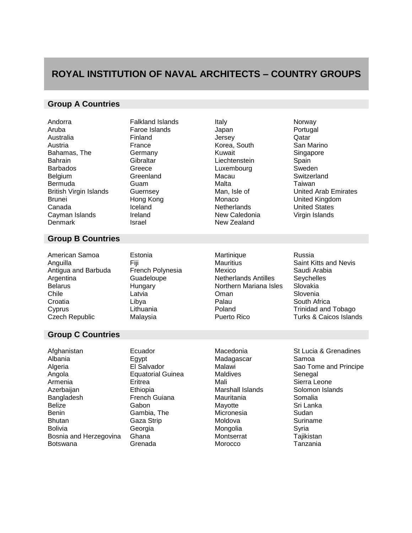## **ROYAL INSTITUTION OF NAVAL ARCHITECTS – COUNTRY GROUPS**

## **Group A Countries**

| Andorra<br>Aruba<br>Australia<br>Austria<br>Bahamas, The<br><b>Bahrain</b><br><b>Barbados</b><br>Belgium<br>Bermuda<br><b>British Virgin Islands</b><br>Brunei<br>Canada<br>Cayman Islands<br>Denmark | <b>Falkland Islands</b><br>Faroe Islands<br>Finland<br>France<br>Germany<br>Gibraltar<br>Greece<br>Greenland<br>Guam<br>Guernsey<br>Hong Kong<br>Iceland<br>Ireland<br>Israel | Italy<br>Japan<br>Jersey<br>Korea, South<br>Kuwait<br>Liechtenstein<br>Luxembourg<br>Macau<br>Malta<br>Man, Isle of<br>Monaco<br>Netherlands<br>New Caledonia<br>New Zealand | Norway<br>Portugal<br>Qatar<br>San Marino<br>Singapore<br>Spain<br>Sweden<br>Switzerland<br>Taiwan<br><b>United Arab Emirates</b><br>United Kingdom<br><b>United States</b><br>Virgin Islands |
|-------------------------------------------------------------------------------------------------------------------------------------------------------------------------------------------------------|-------------------------------------------------------------------------------------------------------------------------------------------------------------------------------|------------------------------------------------------------------------------------------------------------------------------------------------------------------------------|-----------------------------------------------------------------------------------------------------------------------------------------------------------------------------------------------|
| <b>Group B Countries</b>                                                                                                                                                                              |                                                                                                                                                                               |                                                                                                                                                                              |                                                                                                                                                                                               |
| American Samoa<br>Anguilla<br>Antigua and Barbuda<br>Argentina<br><b>Belarus</b><br>Chile<br>Croatia<br>Cyprus<br>Czech Republic                                                                      | Estonia<br>Fiji<br>French Polynesia<br>Guadeloupe<br>Hungary<br>Latvia<br>Libya<br>Lithuania<br>Malaysia                                                                      | Martinique<br><b>Mauritius</b><br>Mexico<br><b>Netherlands Antilles</b><br>Northern Mariana Isles<br>Oman<br>Palau<br>Poland<br>Puerto Rico                                  | Russia<br><b>Saint Kitts and Nevis</b><br>Saudi Arabia<br>Seychelles<br>Slovakia<br>Slovenia<br>South Africa<br><b>Trinidad and Tobago</b><br><b>Turks &amp; Caicos Islands</b>               |
| <b>Group C Countries</b>                                                                                                                                                                              |                                                                                                                                                                               |                                                                                                                                                                              |                                                                                                                                                                                               |
| Afghanistan<br>Albania<br>Algeria<br>Angola<br>Armenia<br>Azerbaijan<br>Bangladesh<br><b>Belize</b><br>Benin<br>Bhutan<br>Bolivia<br>Bosnia and Herzegovina<br>Botswana                               | Ecuador<br>Egypt<br>El Salvador<br><b>Equatorial Guinea</b><br>Eritrea<br>Ethiopia<br>French Guiana<br>Gabon<br>Gambia, The<br>Gaza Strip<br>Georgia<br>Ghana<br>Grenada      | Macedonia<br>Madagascar<br>Malawi<br><b>Maldives</b><br>Mali<br>Marshall Islands<br>Mauritania<br>Mayotte<br>Micronesia<br>Moldova<br>Mongolia<br>Montserrat<br>Morocco      | St Lucia & Grenadines<br>Samoa<br>Sao Tome and Principe<br>Senegal<br>Sierra Leone<br>Solomon Islands<br>Somalia<br>Sri Lanka<br>Sudan<br>Suriname<br>Syria<br>Tajikistan<br>Tanzania         |